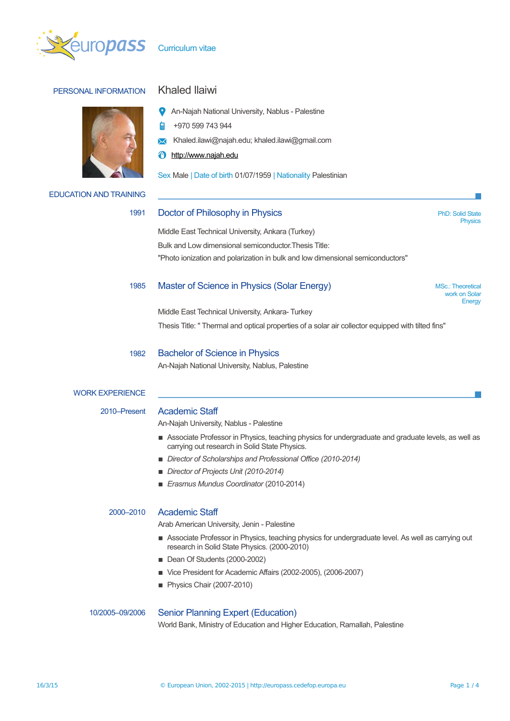

# PERSONAL INFORMATION Khaled Ilaiwi





- +970 599 743 944 À
- **X** Khaled.ilawi@najah.edu; khaled.ilawi@gmail.com
- [http://www.najah.edu](http://www.najah.edu/)

Sex Male | Date of birth 01/07/1959 | Nationality Palestinian

## EDUCATION AND TRAINING

# 1991 Doctor of Philosophy in Physics **PhD: Solid State** PhD: Solid State

**Physics** 

Middle East Technical University, Ankara (Turkey)

Bulk and Low dimensional semiconductor.Thesis Title: ''Photo ionization and polarization in bulk and low dimensional semiconductors"

# 1985 Master of Science in Physics (Solar Energy) MSC.: Theoretical MSc.: Theoretical

work on Solar **Energy** 

Middle East Technical University, Ankara- Turkey Thesis Title: '' Thermal and optical properties of a solar air collector equipped with tilted fins''

### 1982 Bachelor of Science in Physics

An-Najah National University, Nablus, Palestine

# WORK EXPERIENCE

# 2010–Present Academic Staff

An-Najah University, Nablus - Palestine

- **EXECT** Associate Professor in Physics, teaching physics for undergraduate and graduate levels, as well as carrying out research in Solid State Physics.
- *Director of Scholarships and Professional Office (2010-2014)*
- *Director of Projects Unit (2010-2014)*
- *Erasmus Mundus Coordinator* (2010-2014)

# 2000–2010 Academic Staff

Arab American University, Jenin - Palestine

- **Exercise Professor in Physics, teaching physics for undergraduate level. As well as carrying out** research in Solid State Physics. (2000-2010)
- Dean Of Students (2000-2002)
- Vice President for Academic Affairs (2002-2005), (2006-2007)
- Physics Chair (2007-2010)

# 10/2005–09/2006 Senior Planning Expert (Education)

World Bank, Ministry of Education and Higher Education, Ramallah, Palestine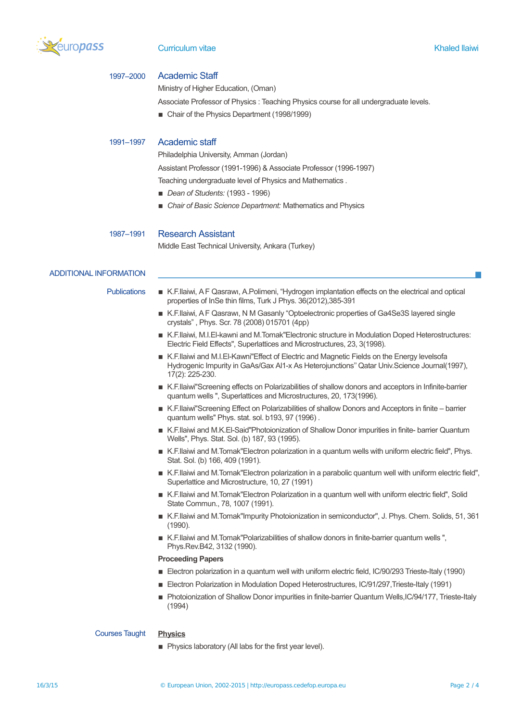

### Curriculum vitae Khaled llaiwi

# 1997–2000 Academic Staff

Ministry of Higher Education, (Oman)

Associate Professor of Physics : Teaching Physics course for all undergraduate levels.

■ Chair of the Physics Department (1998/1999)

## 1991–1997 Academic staff

Philadelphia University, Amman (Jordan)

Assistant Professor (1991-1996) & Associate Professor (1996-1997)

Teaching undergraduate level of Physics and Mathematics .

- *Dean of Students:* (1993 1996)
- *Chair of Basic Science Department:* Mathematics and Physics

1987–1991 Research Assistant

Middle East Technical University, Ankara (Turkey)

# ADDITIONAL INFORMATION

- Publications K.F.Ilaiwi, A F Qasrawı, A.Polimeni, "Hydrogen implantation effects on the electrical and optical properties of InSe thin films, Turk J Phys. 36(2012),385-391
	- K.F.Ilaiwi, A F Qasrawi, N M Gasanly "Optoelectronic properties of Ga4Se3S layered single crystals" , Phys. Scr. 78 (2008) 015701 (4pp)
	- K.F.Ilaiwi, M.I.El-kawni and M.Tomak"Electronic structure in Modulation Doped Heterostructures: Electric Field Effects", Superlattices and Microstructures, 23, 3(1998).
	- K.F.Ilaiwi and M.I.El-Kawni"Effect of Electric and Magnetic Fields on the Energy levelsofa Hydrogenic Impurity in GaAs/Gax Al1-x As Heterojunctions'' Qatar Univ.Science Journal(1997), 17(2): 225-230.
	- K.F.Ilaiwi"Screening effects on Polarizabilities of shallow donors and acceptors in Infinite-barrier quantum wells '', Superlattices and Microstructures, 20, 173(1996).
	- K.F.Ilaiwi"Screening Effect on Polarizabilities of shallow Donors and Acceptors in finite barrier quantum wells'' Phys. stat. sol. b193, 97 (1996) .
	- K.F.Ilaiwi and M.K.El-Said"Photoionization of Shallow Donor impurities in finite- barrier Quantum Wells'', Phys. Stat. Sol. (b) 187, 93 (1995).
	- K.F.Ilaiwi and M.Tomak"Electron polarization in a quantum wells with uniform electric field", Phys. Stat. Sol. (b) 166, 409 (1991).
	- K.F.Ilaiwi and M.Tomak"Electron polarization in a parabolic quantum well with uniform electric field", Superlattice and Microstructure, 10, 27 (1991)
	- K.F.Ilaiwi and M.Tomak"Electron Polarization in a quantum well with uniform electric field". Solid State Commun., 78, 1007 (1991).
	- K.F.Ilaiwi and M.Tomak"Impurity Photoionization in semiconductor", J. Phys. Chem. Solids, 51, 361 (1990).
	- K.F.Ilaiwi and M.Tomak"Polarizabilities of shallow donors in finite-barrier quantum wells ", Phys.Rev.B42, 3132 (1990).

### **Proceeding Papers**

- Electron polarization in a quantum well with uniform electric field, IC/90/293 Trieste-Italy (1990)
- Electron Polarization in Modulation Doped Heterostructures, IC/91/297, Trieste-Italy (1991)
- Photoionization of Shallow Donor impurities in finite-barrier Quantum Wells,IC/94/177, Trieste-Italy (1994)

### Courses Taught **Physics**

**• Physics laboratory (All labs for the first year level).**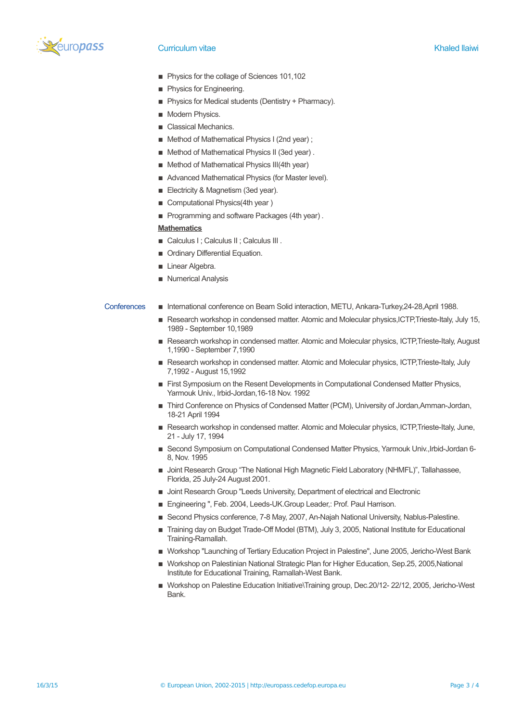

# Curriculum vitae Khaled llaiwi

- Physics for the collage of Sciences 101,102
- **Physics for Engineering.**
- **Physics for Medical students (Dentistry + Pharmacy).**
- **I** Modern Physics.
- Classical Mechanics.
- Method of Mathematical Physics I (2nd year);
- Method of Mathematical Physics II (3ed year).
- Method of Mathematical Physics III(4th year)
- **E** Advanced Mathematical Physics (for Master level).
- **Electricity & Magnetism (3ed year).**
- Computational Physics(4th year)
- Programming and software Packages (4th year).

# **Mathematics**

- Calculus I : Calculus II : Calculus III .
- **Ordinary Differential Equation.**
- **Linear Algebra.**
- **Numerical Analysis**

# Conferences ▪ International conference on Beam Solid interaction, METU, Ankara-Turkey,24-28,April 1988.

- Research workshop in condensed matter. Atomic and Molecular physics,ICTP,Trieste-Italy, July 15, 1989 - September 10,1989
- Research workshop in condensed matter. Atomic and Molecular physics, ICTP,Trieste-Italy, August 1,1990 - September 7,1990
- Research workshop in condensed matter. Atomic and Molecular physics, ICTP,Trieste-Italy, July 7,1992 - August 15,1992
- **Eirst Symposium on the Resent Developments in Computational Condensed Matter Physics,** Yarmouk Univ., Irbid-Jordan,16-18 Nov. 1992
- **Third Conference on Physics of Condensed Matter (PCM), University of Jordan, Amman-Jordan,** 18-21 April 1994
- Research workshop in condensed matter. Atomic and Molecular physics, ICTP, Trieste-Italy, June, 21 - July 17, 1994
- Second Symposium on Computational Condensed Matter Physics, Yarmouk Univ.,Irbid-Jordan 6-8, Nov. 1995
- **Demonment Croup "The National High Magnetic Field Laboratory (NHMFL)", Tallahassee,** Florida, 25 July-24 August 2001.
- **Joint Research Group "Leeds University, Department of electrical and Electronic**
- Engineering ", Feb. 2004, Leeds-UK.Group Leader,: Prof. Paul Harrison.
- **E** Second Physics conference, 7-8 May, 2007, An-Najah National University, Nablus-Palestine.
- Training day on Budget Trade-Off Model (BTM), July 3, 2005, National Institute for Educational Training-Ramallah.
- **IN** Workshop "Launching of Tertiary Education Project in Palestine", June 2005, Jericho-West Bank
- Workshop on Palestinian National Strategic Plan for Higher Education, Sep.25, 2005,National Institute for Educational Training, Ramallah-West Bank.
- Workshop on Palestine Education Initiative\Training group, Dec.20/12- 22/12, 2005, Jericho-West **Bank**